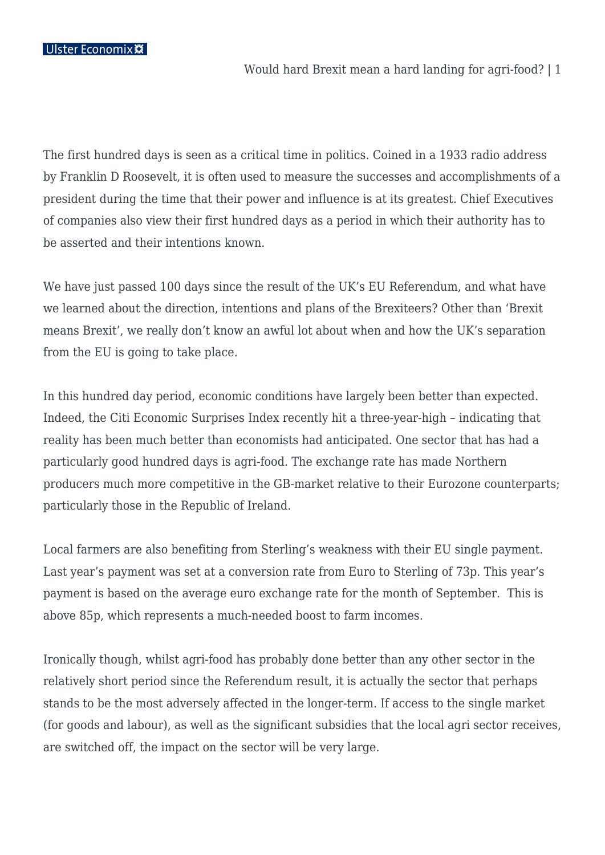Ulster Economix ※

Would hard Brexit mean a hard landing for agri-food? | 1

The first hundred days is seen as a critical time in politics. Coined in a 1933 radio address by Franklin D Roosevelt, it is often used to measure the successes and accomplishments of a president during the time that their power and influence is at its greatest. Chief Executives of companies also view their first hundred days as a period in which their authority has to be asserted and their intentions known.

We have just passed 100 days since the result of the UK's EU Referendum, and what have we learned about the direction, intentions and plans of the Brexiteers? Other than 'Brexit means Brexit', we really don't know an awful lot about when and how the UK's separation from the EU is going to take place.

In this hundred day period, economic conditions have largely been better than expected. Indeed, the Citi Economic Surprises Index recently hit a three-year-high – indicating that reality has been much better than economists had anticipated. One sector that has had a particularly good hundred days is agri-food. The exchange rate has made Northern producers much more competitive in the GB-market relative to their Eurozone counterparts; particularly those in the Republic of Ireland.

Local farmers are also benefiting from Sterling's weakness with their EU single payment. Last year's payment was set at a conversion rate from Euro to Sterling of 73p. This year's payment is based on the average euro exchange rate for the month of September. This is above 85p, which represents a much-needed boost to farm incomes.

Ironically though, whilst agri-food has probably done better than any other sector in the relatively short period since the Referendum result, it is actually the sector that perhaps stands to be the most adversely affected in the longer-term. If access to the single market (for goods and labour), as well as the significant subsidies that the local agri sector receives, are switched off, the impact on the sector will be very large.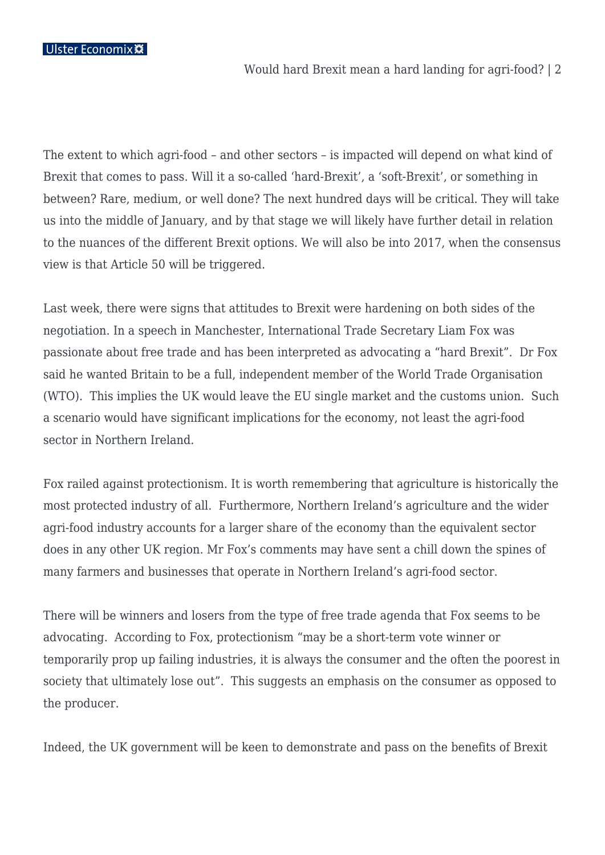Ulster Economix \*\*

Would hard Brexit mean a hard landing for agri-food? | 2

The extent to which agri-food – and other sectors – is impacted will depend on what kind of Brexit that comes to pass. Will it a so-called 'hard-Brexit', a 'soft-Brexit', or something in between? Rare, medium, or well done? The next hundred days will be critical. They will take us into the middle of January, and by that stage we will likely have further detail in relation to the nuances of the different Brexit options. We will also be into 2017, when the consensus view is that Article 50 will be triggered.

Last week, there were signs that attitudes to Brexit were hardening on both sides of the negotiation. In a speech in Manchester, International Trade Secretary Liam Fox was passionate about free trade and has been interpreted as advocating a "hard Brexit". Dr Fox said he wanted Britain to be a full, independent member of the World Trade Organisation (WTO). This implies the UK would leave the EU single market and the customs union. Such a scenario would have significant implications for the economy, not least the agri-food sector in Northern Ireland.

Fox railed against protectionism. It is worth remembering that agriculture is historically the most protected industry of all. Furthermore, Northern Ireland's agriculture and the wider agri-food industry accounts for a larger share of the economy than the equivalent sector does in any other UK region. Mr Fox's comments may have sent a chill down the spines of many farmers and businesses that operate in Northern Ireland's agri-food sector.

There will be winners and losers from the type of free trade agenda that Fox seems to be advocating. According to Fox, protectionism "may be a short-term vote winner or temporarily prop up failing industries, it is always the consumer and the often the poorest in society that ultimately lose out". This suggests an emphasis on the consumer as opposed to the producer.

Indeed, the UK government will be keen to demonstrate and pass on the benefits of Brexit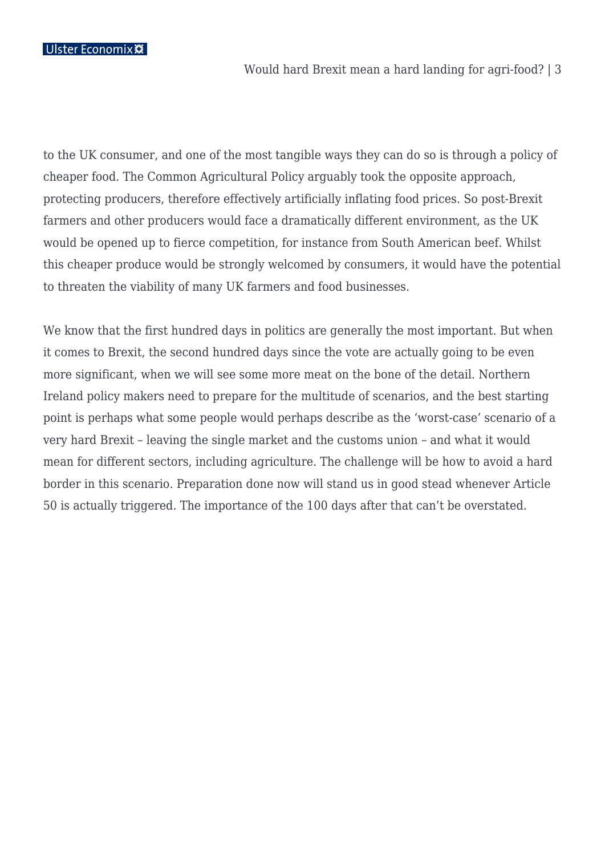Ulster Economix **※** 

to the UK consumer, and one of the most tangible ways they can do so is through a policy of cheaper food. The Common Agricultural Policy arguably took the opposite approach, protecting producers, therefore effectively artificially inflating food prices. So post-Brexit farmers and other producers would face a dramatically different environment, as the UK would be opened up to fierce competition, for instance from South American beef. Whilst this cheaper produce would be strongly welcomed by consumers, it would have the potential to threaten the viability of many UK farmers and food businesses.

We know that the first hundred days in politics are generally the most important. But when it comes to Brexit, the second hundred days since the vote are actually going to be even more significant, when we will see some more meat on the bone of the detail. Northern Ireland policy makers need to prepare for the multitude of scenarios, and the best starting point is perhaps what some people would perhaps describe as the 'worst-case' scenario of a very hard Brexit – leaving the single market and the customs union – and what it would mean for different sectors, including agriculture. The challenge will be how to avoid a hard border in this scenario. Preparation done now will stand us in good stead whenever Article 50 is actually triggered. The importance of the 100 days after that can't be overstated.